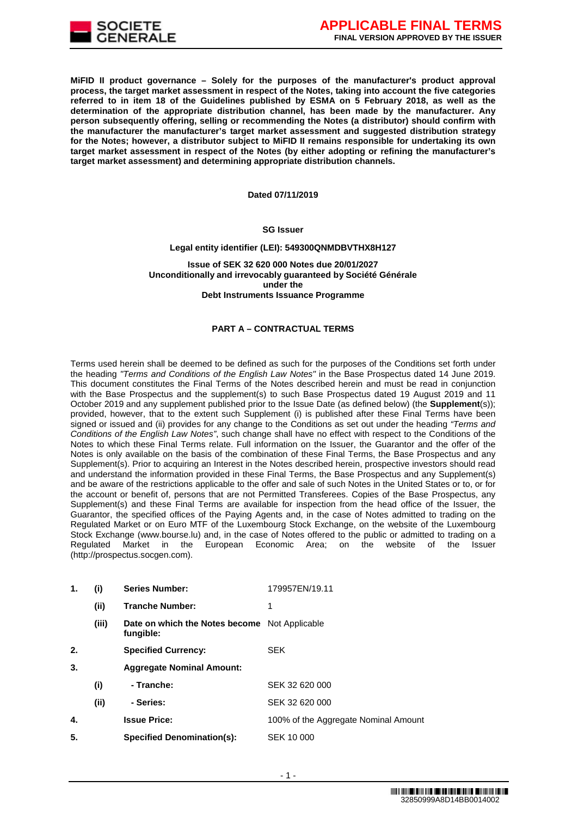

**MiFID II product governance – Solely for the purposes of the manufacturer's product approval process, the target market assessment in respect of the Notes, taking into account the five categories referred to in item 18 of the Guidelines published by ESMA on 5 February 2018, as well as the determination of the appropriate distribution channel, has been made by the manufacturer. Any person subsequently offering, selling or recommending the Notes (a distributor) should confirm with the manufacturer the manufacturer's target market assessment and suggested distribution strategy for the Notes; however, a distributor subject to MiFID II remains responsible for undertaking its own target market assessment in respect of the Notes (by either adopting or refining the manufacturer's target market assessment) and determining appropriate distribution channels.**

#### **Dated 07/11/2019**

# **SG Issuer**

#### **Legal entity identifier (LEI): 549300QNMDBVTHX8H127**

**Issue of SEK 32 620 000 Notes due 20/01/2027 Unconditionally and irrevocably guaranteed by Société Générale under the Debt Instruments Issuance Programme**

## **PART A – CONTRACTUAL TERMS**

Terms used herein shall be deemed to be defined as such for the purposes of the Conditions set forth under the heading *"Terms and Conditions of the English Law Notes"* in the Base Prospectus dated 14 June 2019. This document constitutes the Final Terms of the Notes described herein and must be read in conjunction with the Base Prospectus and the supplement(s) to such Base Prospectus dated 19 August 2019 and 11 October 2019 and any supplement published prior to the Issue Date (as defined below) (the **Supplement**(s)); provided, however, that to the extent such Supplement (i) is published after these Final Terms have been signed or issued and (ii) provides for any change to the Conditions as set out under the heading *"Terms and Conditions of the English Law Notes"*, such change shall have no effect with respect to the Conditions of the Notes to which these Final Terms relate. Full information on the Issuer, the Guarantor and the offer of the Notes is only available on the basis of the combination of these Final Terms, the Base Prospectus and any Supplement(s). Prior to acquiring an Interest in the Notes described herein, prospective investors should read and understand the information provided in these Final Terms, the Base Prospectus and any Supplement(s) and be aware of the restrictions applicable to the offer and sale of such Notes in the United States or to, or for the account or benefit of, persons that are not Permitted Transferees. Copies of the Base Prospectus, any Supplement(s) and these Final Terms are available for inspection from the head office of the Issuer, the Guarantor, the specified offices of the Paying Agents and, in the case of Notes admitted to trading on the Regulated Market or on Euro MTF of the Luxembourg Stock Exchange, on the website of the Luxembourg Stock Exchange (www.bourse.lu) and, in the case of Notes offered to the public or admitted to trading on a<br>Regulated Market in the European Economic Area; on the website of the Issuer European Economic Area; on the (http://prospectus.socgen.com).

| 1. | (i)   | <b>Series Number:</b>                                      | 179957EN/19.11                       |
|----|-------|------------------------------------------------------------|--------------------------------------|
|    | (ii)  | <b>Tranche Number:</b>                                     | 1                                    |
|    | (iii) | Date on which the Notes become Not Applicable<br>fungible: |                                      |
| 2. |       | <b>Specified Currency:</b>                                 | <b>SEK</b>                           |
| 3. |       | <b>Aggregate Nominal Amount:</b>                           |                                      |
|    | (i)   | - Tranche:                                                 | SEK 32 620 000                       |
|    | (ii)  | - Series:                                                  | SEK 32 620 000                       |
| 4. |       | <b>Issue Price:</b>                                        | 100% of the Aggregate Nominal Amount |
| 5. |       | <b>Specified Denomination(s):</b>                          | SEK 10 000                           |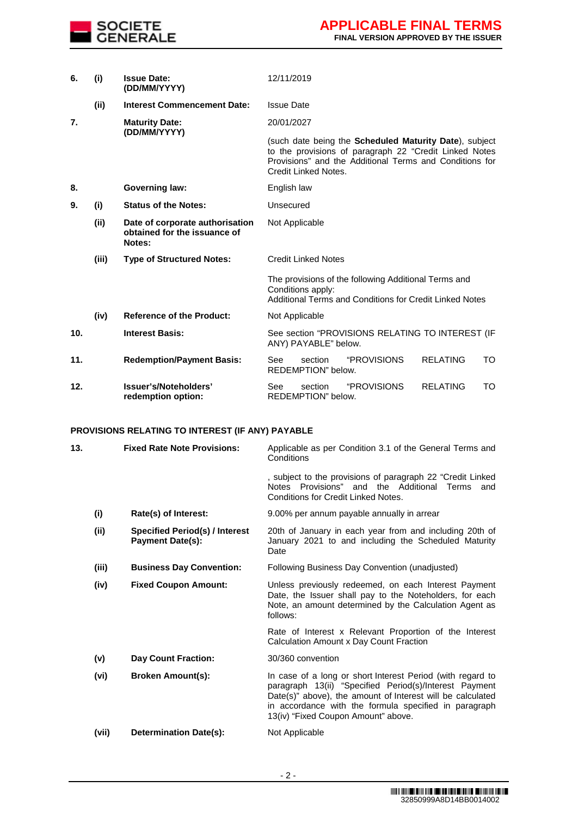

| 6.  | (i)   | <b>Issue Date:</b><br>(DD/MM/YYYY)                                        | 12/11/2019                                                                                                                                                                                                  |  |  |  |  |
|-----|-------|---------------------------------------------------------------------------|-------------------------------------------------------------------------------------------------------------------------------------------------------------------------------------------------------------|--|--|--|--|
|     | (ii)  | <b>Interest Commencement Date:</b>                                        | <b>Issue Date</b>                                                                                                                                                                                           |  |  |  |  |
| 7.  |       | <b>Maturity Date:</b>                                                     | 20/01/2027                                                                                                                                                                                                  |  |  |  |  |
|     |       | (DD/MM/YYYY)                                                              | (such date being the <b>Scheduled Maturity Date</b> ), subject<br>to the provisions of paragraph 22 "Credit Linked Notes<br>Provisions" and the Additional Terms and Conditions for<br>Credit Linked Notes. |  |  |  |  |
| 8.  |       | <b>Governing law:</b>                                                     | English law                                                                                                                                                                                                 |  |  |  |  |
| 9.  | (i)   | <b>Status of the Notes:</b>                                               | Unsecured                                                                                                                                                                                                   |  |  |  |  |
|     | (ii)  | Date of corporate authorisation<br>obtained for the issuance of<br>Notes: | Not Applicable                                                                                                                                                                                              |  |  |  |  |
|     | (iii) | <b>Type of Structured Notes:</b>                                          | <b>Credit Linked Notes</b>                                                                                                                                                                                  |  |  |  |  |
|     |       |                                                                           | The provisions of the following Additional Terms and<br>Conditions apply:<br>Additional Terms and Conditions for Credit Linked Notes                                                                        |  |  |  |  |
|     | (iv)  | <b>Reference of the Product:</b>                                          | Not Applicable                                                                                                                                                                                              |  |  |  |  |
| 10. |       | <b>Interest Basis:</b>                                                    | See section "PROVISIONS RELATING TO INTEREST (IF<br>ANY) PAYABLE" below.                                                                                                                                    |  |  |  |  |
| 11. |       | <b>Redemption/Payment Basis:</b>                                          | "PROVISIONS<br><b>RELATING</b><br>TO<br>section<br>See<br>REDEMPTION" below.                                                                                                                                |  |  |  |  |
| 12. |       | Issuer's/Noteholders'<br>redemption option:                               | <b>RELATING</b><br>"PROVISIONS<br>TO<br>See<br>section<br>REDEMPTION" below.                                                                                                                                |  |  |  |  |

# **PROVISIONS RELATING TO INTEREST (IF ANY) PAYABLE**

| 13. |       | <b>Fixed Rate Note Provisions:</b>                               | Applicable as per Condition 3.1 of the General Terms and<br>Conditions                                                                                                                                                                                                             |  |  |  |
|-----|-------|------------------------------------------------------------------|------------------------------------------------------------------------------------------------------------------------------------------------------------------------------------------------------------------------------------------------------------------------------------|--|--|--|
|     |       |                                                                  | , subject to the provisions of paragraph 22 "Credit Linked<br>Notes Provisions" and the Additional Terms<br>and<br><b>Conditions for Credit Linked Notes.</b>                                                                                                                      |  |  |  |
|     | (i)   | Rate(s) of Interest:                                             | 9.00% per annum payable annually in arrear                                                                                                                                                                                                                                         |  |  |  |
|     | (ii)  | <b>Specified Period(s) / Interest</b><br><b>Payment Date(s):</b> | 20th of January in each year from and including 20th of<br>January 2021 to and including the Scheduled Maturity<br>Date                                                                                                                                                            |  |  |  |
|     | (iii) | <b>Business Day Convention:</b>                                  | Following Business Day Convention (unadjusted)                                                                                                                                                                                                                                     |  |  |  |
|     | (iv)  | <b>Fixed Coupon Amount:</b>                                      | Unless previously redeemed, on each Interest Payment<br>Date, the Issuer shall pay to the Noteholders, for each<br>Note, an amount determined by the Calculation Agent as<br>follows:                                                                                              |  |  |  |
|     |       |                                                                  | Rate of Interest x Relevant Proportion of the Interest<br>Calculation Amount x Day Count Fraction                                                                                                                                                                                  |  |  |  |
|     | (v)   | <b>Day Count Fraction:</b>                                       | 30/360 convention                                                                                                                                                                                                                                                                  |  |  |  |
|     | (vi)  | <b>Broken Amount(s):</b>                                         | In case of a long or short Interest Period (with regard to<br>paragraph 13(ii) "Specified Period(s)/Interest Payment<br>Date(s)" above), the amount of Interest will be calculated<br>in accordance with the formula specified in paragraph<br>13(iv) "Fixed Coupon Amount" above. |  |  |  |
|     | (vii) | <b>Determination Date(s):</b>                                    | Not Applicable                                                                                                                                                                                                                                                                     |  |  |  |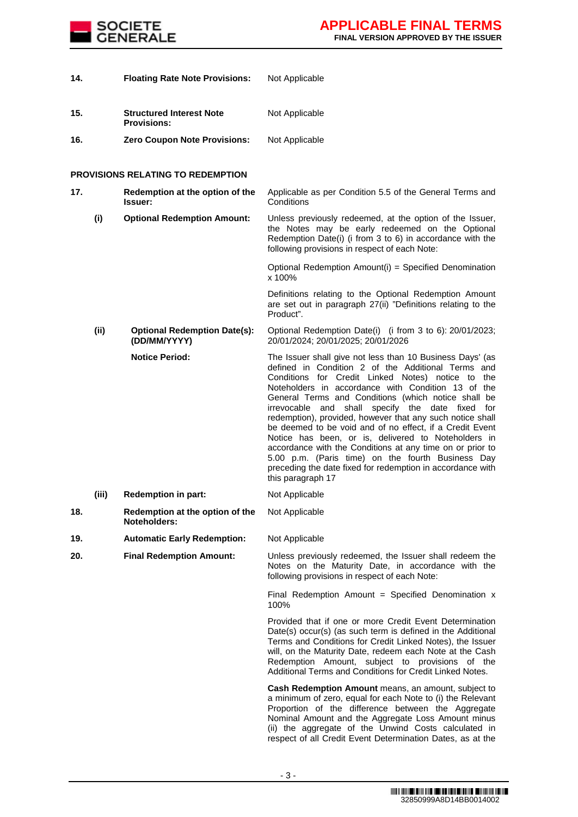

| 14. |       | <b>Floating Rate Note Provisions:</b>                 | Not Applicable                                                                                                                                                                                                                                                                                                                                                                                                                                                                                                                                                                                                                                                                                                                |
|-----|-------|-------------------------------------------------------|-------------------------------------------------------------------------------------------------------------------------------------------------------------------------------------------------------------------------------------------------------------------------------------------------------------------------------------------------------------------------------------------------------------------------------------------------------------------------------------------------------------------------------------------------------------------------------------------------------------------------------------------------------------------------------------------------------------------------------|
| 15. |       | <b>Structured Interest Note</b><br><b>Provisions:</b> | Not Applicable                                                                                                                                                                                                                                                                                                                                                                                                                                                                                                                                                                                                                                                                                                                |
| 16. |       | <b>Zero Coupon Note Provisions:</b>                   | Not Applicable                                                                                                                                                                                                                                                                                                                                                                                                                                                                                                                                                                                                                                                                                                                |
|     |       | <b>PROVISIONS RELATING TO REDEMPTION</b>              |                                                                                                                                                                                                                                                                                                                                                                                                                                                                                                                                                                                                                                                                                                                               |
| 17. |       | Redemption at the option of the<br><b>Issuer:</b>     | Applicable as per Condition 5.5 of the General Terms and<br>Conditions                                                                                                                                                                                                                                                                                                                                                                                                                                                                                                                                                                                                                                                        |
|     | (i)   | <b>Optional Redemption Amount:</b>                    | Unless previously redeemed, at the option of the Issuer,<br>the Notes may be early redeemed on the Optional<br>Redemption Date(i) (i from 3 to 6) in accordance with the<br>following provisions in respect of each Note:                                                                                                                                                                                                                                                                                                                                                                                                                                                                                                     |
|     |       |                                                       | Optional Redemption Amount(i) = Specified Denomination<br>x 100%                                                                                                                                                                                                                                                                                                                                                                                                                                                                                                                                                                                                                                                              |
|     |       |                                                       | Definitions relating to the Optional Redemption Amount<br>are set out in paragraph 27(ii) "Definitions relating to the<br>Product".                                                                                                                                                                                                                                                                                                                                                                                                                                                                                                                                                                                           |
|     | (ii)  | <b>Optional Redemption Date(s):</b><br>(DD/MM/YYYY)   | Optional Redemption Date(i) (i from 3 to 6): 20/01/2023;<br>20/01/2024; 20/01/2025; 20/01/2026                                                                                                                                                                                                                                                                                                                                                                                                                                                                                                                                                                                                                                |
|     |       | <b>Notice Period:</b>                                 | The Issuer shall give not less than 10 Business Days' (as<br>defined in Condition 2 of the Additional Terms and<br>Conditions for Credit Linked Notes) notice to the<br>Noteholders in accordance with Condition 13 of the<br>General Terms and Conditions (which notice shall be<br>irrevocable and shall specify the date fixed<br>for<br>redemption), provided, however that any such notice shall<br>be deemed to be void and of no effect, if a Credit Event<br>Notice has been, or is, delivered to Noteholders in<br>accordance with the Conditions at any time on or prior to<br>5.00 p.m. (Paris time) on the fourth Business Day<br>preceding the date fixed for redemption in accordance with<br>this paragraph 17 |
|     | (iii) | <b>Redemption in part:</b>                            | Not Applicable                                                                                                                                                                                                                                                                                                                                                                                                                                                                                                                                                                                                                                                                                                                |
| 18. |       | Redemption at the option of the<br>Noteholders:       | Not Applicable                                                                                                                                                                                                                                                                                                                                                                                                                                                                                                                                                                                                                                                                                                                |
| 19. |       | <b>Automatic Early Redemption:</b>                    | Not Applicable                                                                                                                                                                                                                                                                                                                                                                                                                                                                                                                                                                                                                                                                                                                |
| 20. |       | <b>Final Redemption Amount:</b>                       | Unless previously redeemed, the Issuer shall redeem the<br>Notes on the Maturity Date, in accordance with the<br>following provisions in respect of each Note:                                                                                                                                                                                                                                                                                                                                                                                                                                                                                                                                                                |
|     |       |                                                       | Final Redemption Amount = Specified Denomination $x$<br>100%                                                                                                                                                                                                                                                                                                                                                                                                                                                                                                                                                                                                                                                                  |
|     |       |                                                       | Provided that if one or more Credit Event Determination<br>Date(s) occur(s) (as such term is defined in the Additional<br>Terms and Conditions for Credit Linked Notes), the Issuer<br>will, on the Maturity Date, redeem each Note at the Cash<br>Redemption Amount, subject to provisions of the<br>Additional Terms and Conditions for Credit Linked Notes.                                                                                                                                                                                                                                                                                                                                                                |
|     |       |                                                       | <b>Cash Redemption Amount</b> means, an amount, subject to<br>a minimum of zero, equal for each Note to (i) the Relevant<br>Proportion of the difference between the Aggregate<br>Nominal Amount and the Aggregate Loss Amount minus<br>(ii) the aggregate of the Unwind Costs calculated in                                                                                                                                                                                                                                                                                                                                                                                                                                  |

respect of all Credit Event Determination Dates, as at the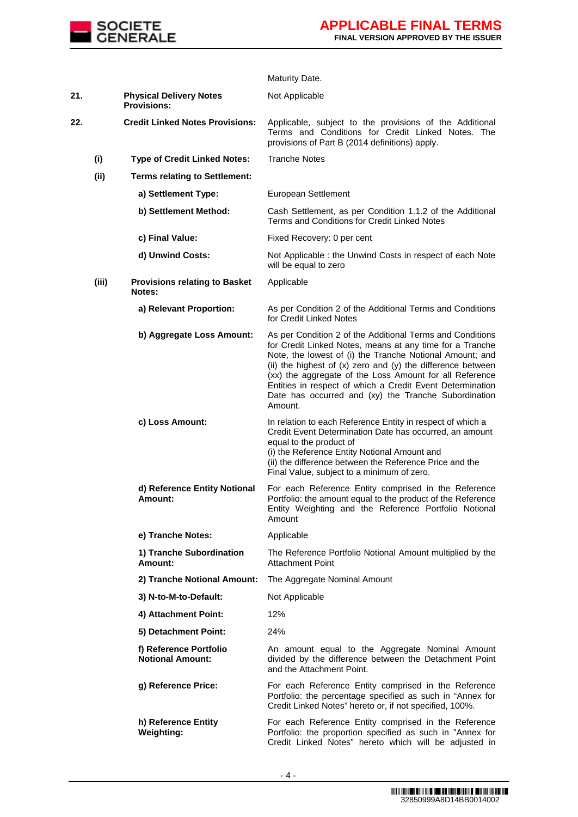

|     |       |                                                       | Maturity Date.                                                                                                                                                                                                                                                                                                                                                                                                                                  |
|-----|-------|-------------------------------------------------------|-------------------------------------------------------------------------------------------------------------------------------------------------------------------------------------------------------------------------------------------------------------------------------------------------------------------------------------------------------------------------------------------------------------------------------------------------|
| 21. |       | <b>Physical Delivery Notes</b><br><b>Provisions:</b>  | Not Applicable                                                                                                                                                                                                                                                                                                                                                                                                                                  |
| 22. |       | <b>Credit Linked Notes Provisions:</b>                | Applicable, subject to the provisions of the Additional<br>Terms and Conditions for Credit Linked Notes. The<br>provisions of Part B (2014 definitions) apply.                                                                                                                                                                                                                                                                                  |
|     | (i)   | <b>Type of Credit Linked Notes:</b>                   | <b>Tranche Notes</b>                                                                                                                                                                                                                                                                                                                                                                                                                            |
|     | (ii)  | <b>Terms relating to Settlement:</b>                  |                                                                                                                                                                                                                                                                                                                                                                                                                                                 |
|     |       | a) Settlement Type:                                   | European Settlement                                                                                                                                                                                                                                                                                                                                                                                                                             |
|     |       | b) Settlement Method:                                 | Cash Settlement, as per Condition 1.1.2 of the Additional<br>Terms and Conditions for Credit Linked Notes                                                                                                                                                                                                                                                                                                                                       |
|     |       | c) Final Value:                                       | Fixed Recovery: 0 per cent                                                                                                                                                                                                                                                                                                                                                                                                                      |
|     |       | d) Unwind Costs:                                      | Not Applicable: the Unwind Costs in respect of each Note<br>will be equal to zero                                                                                                                                                                                                                                                                                                                                                               |
|     | (iii) | <b>Provisions relating to Basket</b><br><b>Notes:</b> | Applicable                                                                                                                                                                                                                                                                                                                                                                                                                                      |
|     |       | a) Relevant Proportion:                               | As per Condition 2 of the Additional Terms and Conditions<br>for Credit Linked Notes                                                                                                                                                                                                                                                                                                                                                            |
|     |       | b) Aggregate Loss Amount:                             | As per Condition 2 of the Additional Terms and Conditions<br>for Credit Linked Notes, means at any time for a Tranche<br>Note, the lowest of (i) the Tranche Notional Amount; and<br>(ii) the highest of $(x)$ zero and $(y)$ the difference between<br>(xx) the aggregate of the Loss Amount for all Reference<br>Entities in respect of which a Credit Event Determination<br>Date has occurred and (xy) the Tranche Subordination<br>Amount. |
|     |       | c) Loss Amount:                                       | In relation to each Reference Entity in respect of which a<br>Credit Event Determination Date has occurred, an amount<br>equal to the product of<br>(i) the Reference Entity Notional Amount and<br>(ii) the difference between the Reference Price and the<br>Final Value, subject to a minimum of zero.                                                                                                                                       |
|     |       | d) Reference Entity Notional<br>Amount:               | For each Reference Entity comprised in the Reference<br>Portfolio: the amount equal to the product of the Reference<br>Entity Weighting and the Reference Portfolio Notional<br>Amount                                                                                                                                                                                                                                                          |
|     |       | e) Tranche Notes:                                     | Applicable                                                                                                                                                                                                                                                                                                                                                                                                                                      |
|     |       | 1) Tranche Subordination<br>Amount:                   | The Reference Portfolio Notional Amount multiplied by the<br><b>Attachment Point</b>                                                                                                                                                                                                                                                                                                                                                            |
|     |       | 2) Tranche Notional Amount:                           | The Aggregate Nominal Amount                                                                                                                                                                                                                                                                                                                                                                                                                    |
|     |       | 3) N-to-M-to-Default:                                 | Not Applicable                                                                                                                                                                                                                                                                                                                                                                                                                                  |
|     |       | 4) Attachment Point:                                  | 12%                                                                                                                                                                                                                                                                                                                                                                                                                                             |
|     |       | 5) Detachment Point:                                  | 24%                                                                                                                                                                                                                                                                                                                                                                                                                                             |
|     |       | f) Reference Portfolio<br><b>Notional Amount:</b>     | An amount equal to the Aggregate Nominal Amount<br>divided by the difference between the Detachment Point<br>and the Attachment Point.                                                                                                                                                                                                                                                                                                          |
|     |       | g) Reference Price:                                   | For each Reference Entity comprised in the Reference<br>Portfolio: the percentage specified as such in "Annex for<br>Credit Linked Notes" hereto or, if not specified, 100%.                                                                                                                                                                                                                                                                    |
|     |       | h) Reference Entity<br><b>Weighting:</b>              | For each Reference Entity comprised in the Reference<br>Portfolio: the proportion specified as such in "Annex for<br>Credit Linked Notes" hereto which will be adjusted in                                                                                                                                                                                                                                                                      |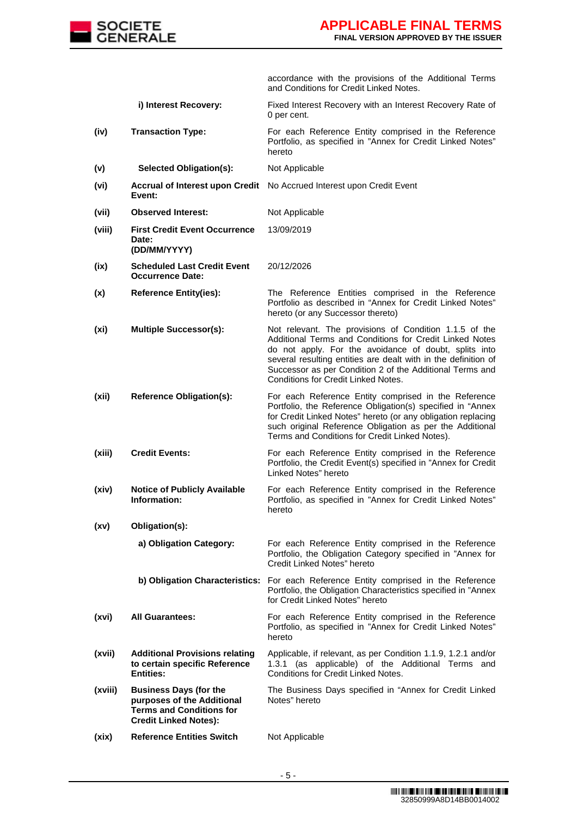

accordance with the provisions of the Additional Terms and Conditions for Credit Linked Notes.

- **i) Interest Recovery:** Fixed Interest Recovery with an Interest Recovery Rate of 0 per cent.
- **(iv) Transaction Type:** For each Reference Entity comprised in the Reference Portfolio, as specified in "Annex for Credit Linked Notes" hereto
- **(v) Selected Obligation(s):** Not Applicable
- **(vi) Accrual of Interest upon Credit**  No Accrued Interest upon Credit Event **Event:**
- **(vii) Observed Interest:** Not Applicable
- **(viii) First Credit Event Occurrence Date: (DD/MM/YYYY)** 13/09/2019
- **(ix) Scheduled Last Credit Event Occurrence Date:** 20/12/2026
- **(x) Reference Entity(ies):** The Reference Entities comprised in the Reference Portfolio as described in "Annex for Credit Linked Notes" hereto (or any Successor thereto)
- **(xi) Multiple Successor(s):** Not relevant. The provisions of Condition 1.1.5 of the Additional Terms and Conditions for Credit Linked Notes do not apply. For the avoidance of doubt, splits into several resulting entities are dealt with in the definition of Successor as per Condition 2 of the Additional Terms and Conditions for Credit Linked Notes.
- **(xii) Reference Obligation(s):** For each Reference Entity comprised in the Reference Portfolio, the Reference Obligation(s) specified in "Annex for Credit Linked Notes" hereto (or any obligation replacing such original Reference Obligation as per the Additional Terms and Conditions for Credit Linked Notes).
- **(xiii) Credit Events:** For each Reference Entity comprised in the Reference Portfolio, the Credit Event(s) specified in "Annex for Credit Linked Notes" hereto
- **(xiv) Notice of Publicly Available Information:** For each Reference Entity comprised in the Reference Portfolio, as specified in "Annex for Credit Linked Notes" hereto
- **(xv) Obligation(s):**
	- **a) Obligation Category:** For each Reference Entity comprised in the Reference Portfolio, the Obligation Category specified in "Annex for Credit Linked Notes" hereto
	- **b) Obligation Characteristics:** For each Reference Entity comprised in the Reference Portfolio, the Obligation Characteristics specified in "Annex for Credit Linked Notes" hereto
- **(xvi) All Guarantees:** For each Reference Entity comprised in the Reference Portfolio, as specified in "Annex for Credit Linked Notes" hereto
- **(xvii) Additional Provisions relating to certain specific Reference Entities:** Applicable, if relevant, as per Condition 1.1.9, 1.2.1 and/or 1.3.1 (as applicable) of the Additional Terms and Conditions for Credit Linked Notes.
- **(xviii) Business Days (for the purposes of the Additional Terms and Conditions for Credit Linked Notes):** The Business Days specified in "Annex for Credit Linked Notes" hereto
- (xix) Reference Entities Switch Not Applicable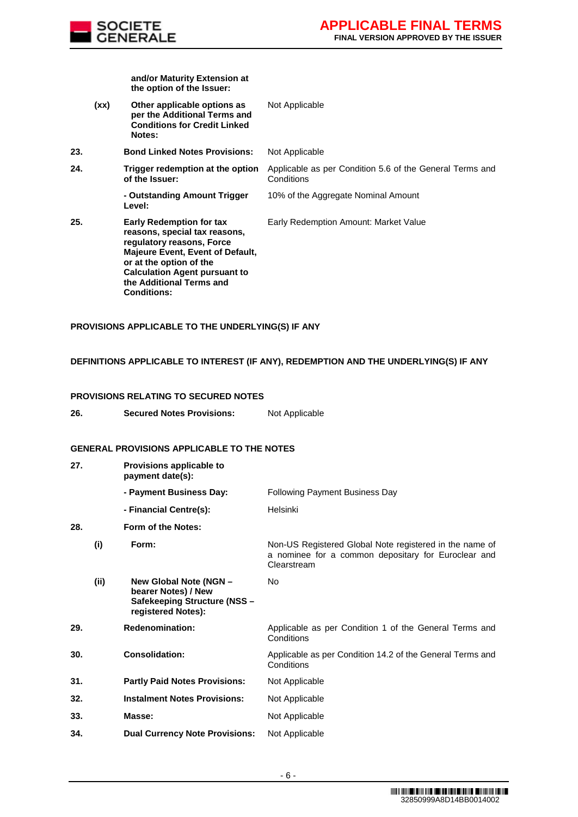

**and/or Maturity Extension at the option of the Issuer:**

**(xx) Other applicable options as per the Additional Terms and Conditions for Credit Linked Notes:** Not Applicable **23. Bond Linked Notes Provisions:** Not Applicable **24. Trigger redemption at the option of the Issuer:** Applicable as per Condition 5.6 of the General Terms and Conditions **- Outstanding Amount Trigger Level:** 10% of the Aggregate Nominal Amount **25. Early Redemption for tax reasons, special tax reasons, regulatory reasons, Force Majeure Event, Event of Default, or at the option of the Calculation Agent pursuant to the Additional Terms and Conditions:** Early Redemption Amount: Market Value

# **PROVISIONS APPLICABLE TO THE UNDERLYING(S) IF ANY**

## **DEFINITIONS APPLICABLE TO INTEREST (IF ANY), REDEMPTION AND THE UNDERLYING(S) IF ANY**

#### **PROVISIONS RELATING TO SECURED NOTES**

| 26. | <b>Secured Notes Provisions:</b> | Not Applicable |
|-----|----------------------------------|----------------|
|-----|----------------------------------|----------------|

## **GENERAL PROVISIONS APPLICABLE TO THE NOTES**

| 27. |      | Provisions applicable to<br>payment date(s):                                                        |                                                                                                                               |
|-----|------|-----------------------------------------------------------------------------------------------------|-------------------------------------------------------------------------------------------------------------------------------|
|     |      | - Payment Business Day:                                                                             | <b>Following Payment Business Day</b>                                                                                         |
|     |      | - Financial Centre(s):                                                                              | Helsinki                                                                                                                      |
| 28. |      | Form of the Notes:                                                                                  |                                                                                                                               |
|     | (i)  | Form:                                                                                               | Non-US Registered Global Note registered in the name of<br>a nominee for a common depositary for Euroclear and<br>Clearstream |
|     | (ii) | New Global Note (NGN -<br>bearer Notes) / New<br>Safekeeping Structure (NSS -<br>registered Notes): | No                                                                                                                            |
| 29. |      | <b>Redenomination:</b>                                                                              | Applicable as per Condition 1 of the General Terms and<br>Conditions                                                          |
| 30. |      | <b>Consolidation:</b>                                                                               | Applicable as per Condition 14.2 of the General Terms and<br>Conditions                                                       |
| 31. |      | <b>Partly Paid Notes Provisions:</b>                                                                | Not Applicable                                                                                                                |
| 32. |      | <b>Instalment Notes Provisions:</b>                                                                 | Not Applicable                                                                                                                |
| 33. |      | Masse:                                                                                              | Not Applicable                                                                                                                |
| 34. |      | <b>Dual Currency Note Provisions:</b>                                                               | Not Applicable                                                                                                                |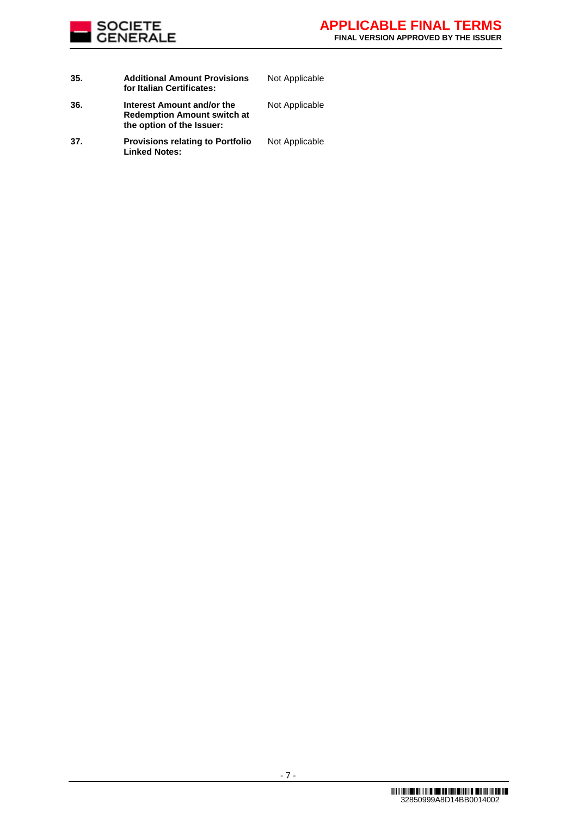

| 35. | <b>Additional Amount Provisions</b><br>for Italian Certificates:                              | Not Applicable |
|-----|-----------------------------------------------------------------------------------------------|----------------|
| 36. | Interest Amount and/or the<br><b>Redemption Amount switch at</b><br>the option of the Issuer: | Not Applicable |
| 37. | <b>Provisions relating to Portfolio</b><br><b>Linked Notes:</b>                               | Not Applicable |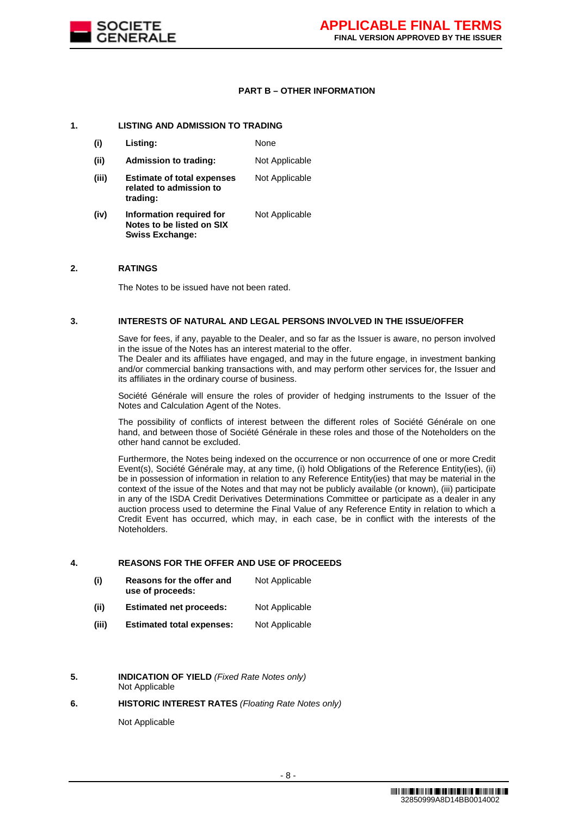

# **PART B – OTHER INFORMATION**

## **1. LISTING AND ADMISSION TO TRADING**

- **(i) Listing:** None **(ii) Admission to trading:** Not Applicable **(iii) Estimate of total expenses related to admission to trading:** Not Applicable
- **(iv) Information required for Notes to be listed on SIX Swiss Exchange:** Not Applicable

## **2. RATINGS**

The Notes to be issued have not been rated.

## **3. INTERESTS OF NATURAL AND LEGAL PERSONS INVOLVED IN THE ISSUE/OFFER**

Save for fees, if any, payable to the Dealer, and so far as the Issuer is aware, no person involved in the issue of the Notes has an interest material to the offer.

The Dealer and its affiliates have engaged, and may in the future engage, in investment banking and/or commercial banking transactions with, and may perform other services for, the Issuer and its affiliates in the ordinary course of business.

Société Générale will ensure the roles of provider of hedging instruments to the Issuer of the Notes and Calculation Agent of the Notes.

The possibility of conflicts of interest between the different roles of Société Générale on one hand, and between those of Société Générale in these roles and those of the Noteholders on the other hand cannot be excluded.

Furthermore, the Notes being indexed on the occurrence or non occurrence of one or more Credit Event(s), Société Générale may, at any time, (i) hold Obligations of the Reference Entity(ies), (ii) be in possession of information in relation to any Reference Entity(ies) that may be material in the context of the issue of the Notes and that may not be publicly available (or known), (iii) participate in any of the ISDA Credit Derivatives Determinations Committee or participate as a dealer in any auction process used to determine the Final Value of any Reference Entity in relation to which a Credit Event has occurred, which may, in each case, be in conflict with the interests of the Noteholders.

#### **4. REASONS FOR THE OFFER AND USE OF PROCEEDS**

- **(i) Reasons for the offer and use of proceeds:** Not Applicable
- **(ii) Estimated net proceeds:** Not Applicable
- **(iii) Estimated total expenses:** Not Applicable
- **5. INDICATION OF YIELD** *(Fixed Rate Notes only)* Not Applicable

# **6. HISTORIC INTEREST RATES** *(Floating Rate Notes only)*

Not Applicable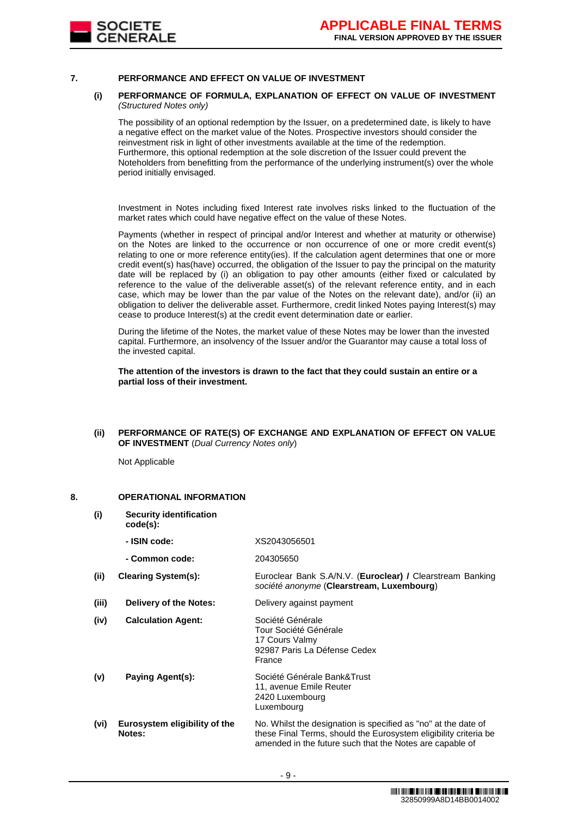

#### **7. PERFORMANCE AND EFFECT ON VALUE OF INVESTMENT**

#### **(i) PERFORMANCE OF FORMULA, EXPLANATION OF EFFECT ON VALUE OF INVESTMENT**  *(Structured Notes only)*

The possibility of an optional redemption by the Issuer, on a predetermined date, is likely to have a negative effect on the market value of the Notes. Prospective investors should consider the reinvestment risk in light of other investments available at the time of the redemption. Furthermore, this optional redemption at the sole discretion of the Issuer could prevent the Noteholders from benefitting from the performance of the underlying instrument(s) over the whole period initially envisaged.

Investment in Notes including fixed Interest rate involves risks linked to the fluctuation of the market rates which could have negative effect on the value of these Notes.

Payments (whether in respect of principal and/or Interest and whether at maturity or otherwise) on the Notes are linked to the occurrence or non occurrence of one or more credit event(s) relating to one or more reference entity(ies). If the calculation agent determines that one or more credit event(s) has(have) occurred, the obligation of the Issuer to pay the principal on the maturity date will be replaced by (i) an obligation to pay other amounts (either fixed or calculated by reference to the value of the deliverable asset(s) of the relevant reference entity, and in each case, which may be lower than the par value of the Notes on the relevant date), and/or (ii) an obligation to deliver the deliverable asset. Furthermore, credit linked Notes paying Interest(s) may cease to produce Interest(s) at the credit event determination date or earlier.

During the lifetime of the Notes, the market value of these Notes may be lower than the invested capital. Furthermore, an insolvency of the Issuer and/or the Guarantor may cause a total loss of the invested capital.

**The attention of the investors is drawn to the fact that they could sustain an entire or a partial loss of their investment.**

#### **(ii) PERFORMANCE OF RATE(S) OF EXCHANGE AND EXPLANATION OF EFFECT ON VALUE OF INVESTMENT** (*Dual Currency Notes only*)

Not Applicable

## **8. OPERATIONAL INFORMATION**

- **(i) Security identification code(s):**
	- **- ISIN code:** XS2043056501
	- **- Common code:** 204305650
- **(ii) Clearing System(s):** Euroclear Bank S.A/N.V. (**Euroclear) /** Clearstream Banking *société anonyme* (**Clearstream, Luxembourg**)
- **(iii) Delivery of the Notes:** Delivery against payment

| (iv) | <b>Calculation Agent:</b> | Société Générale             |  |  |  |
|------|---------------------------|------------------------------|--|--|--|
|      |                           | Tour Société Générale        |  |  |  |
|      |                           | 17 Cours Valmy               |  |  |  |
|      |                           | 92987 Paris La Défense Cedex |  |  |  |
|      |                           | France                       |  |  |  |
|      |                           |                              |  |  |  |

- **(v) Paying Agent(s):** Société Générale Bank&Trust 11, avenue Emile Reuter 2420 Luxembourg Luxembourg
- **(vi) Eurosystem eligibility of the Notes:** No. Whilst the designation is specified as "no" at the date of these Final Terms, should the Eurosystem eligibility criteria be amended in the future such that the Notes are capable of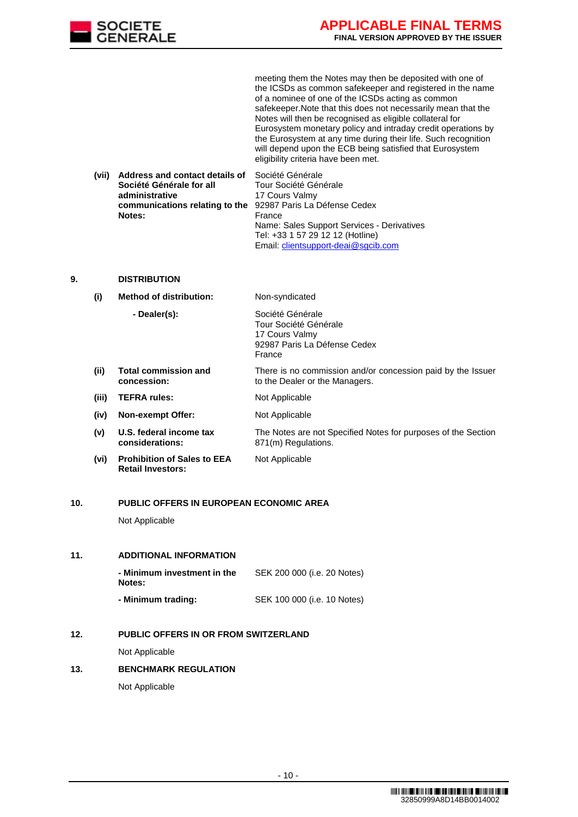

meeting them the Notes may then be deposited with one of the ICSDs as common safekeeper and registered in the name of a nominee of one of the ICSDs acting as common safekeeper.Note that this does not necessarily mean that the Notes will then be recognised as eligible collateral for Eurosystem monetary policy and intraday credit operations by the Eurosystem at any time during their life. Such recognition will depend upon the ECB being satisfied that Eurosystem eligibility criteria have been met.

**(vii) Address and contact details of Société Générale for all administrative communications relating to the Notes:** Société Générale Tour Société Générale 17 Cours Valmy 92987 Paris La Défense Cedex France Name: Sales Support Services - Derivatives Tel: +33 1 57 29 12 12 (Hotline) Email: [clientsupport-deai@sgcib.com](mailto:clientsupport-deai@sgcib.com)

## **9. DISTRIBUTION**

**(i) Method of distribution:** Non-syndicated

- **- Dealer(s):** Société Générale Tour Société Générale 17 Cours Valmy 92987 Paris La Défense Cedex France
- **(ii) Total commission and concession:** There is no commission and/or concession paid by the Issuer to the Dealer or the Managers.
- **(iii) TEFRA rules:** Not Applicable
- **(iv) Non-exempt Offer:** Not Applicable
- **(v) U.S. federal income tax considerations:** The Notes are not Specified Notes for purposes of the Section 871(m) Regulations.
- **(vi) Prohibition of Sales to EEA Retail Investors:**
- Not Applicable

#### **10. PUBLIC OFFERS IN EUROPEAN ECONOMIC AREA**

Not Applicable

# **11. ADDITIONAL INFORMATION**

| - Minimum investment in the<br><b>Notes:</b> | SEK 200 000 (i.e. 20 Notes) |
|----------------------------------------------|-----------------------------|
| - Minimum trading:                           | SEK 100 000 (i.e. 10 Notes) |
|                                              |                             |

# **12. PUBLIC OFFERS IN OR FROM SWITZERLAND**

Not Applicable

# **13. BENCHMARK REGULATION**

Not Applicable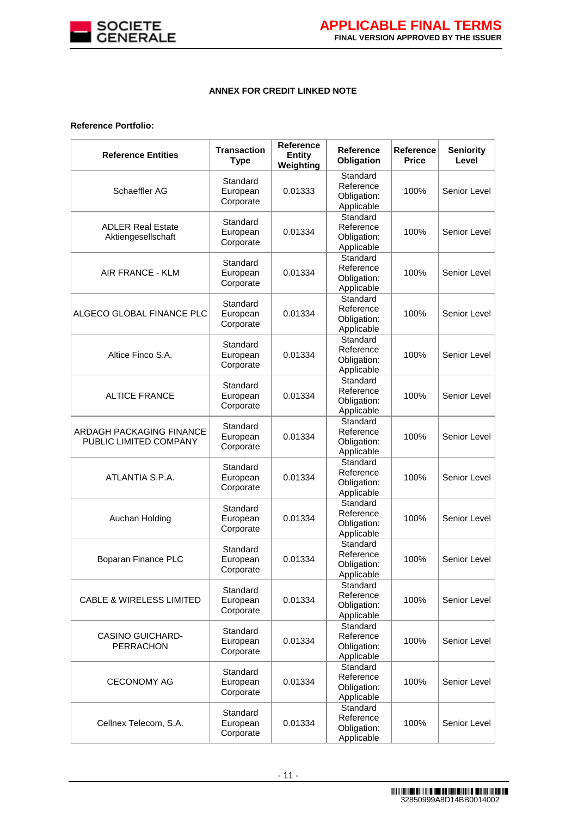

# **ANNEX FOR CREDIT LINKED NOTE**

# **Reference Portfolio:**

| <b>Reference Entities</b>                          | <b>Transaction</b><br><b>Type</b> | <b>Reference</b><br><b>Entity</b><br>Weighting | Reference<br>Obligation                            | Reference<br><b>Price</b> | <b>Seniority</b><br>Level |
|----------------------------------------------------|-----------------------------------|------------------------------------------------|----------------------------------------------------|---------------------------|---------------------------|
| Schaeffler AG                                      | Standard<br>European<br>Corporate | 0.01333                                        | Standard<br>Reference<br>Obligation:<br>Applicable | 100%                      | Senior Level              |
| <b>ADLER Real Estate</b><br>Aktiengesellschaft     | Standard<br>European<br>Corporate | 0.01334                                        | Standard<br>Reference<br>Obligation:<br>Applicable | 100%                      | Senior Level              |
| AIR FRANCE - KLM                                   | Standard<br>European<br>Corporate | 0.01334                                        | Standard<br>Reference<br>Obligation:<br>Applicable | 100%                      | Senior Level              |
| ALGECO GLOBAL FINANCE PLC                          | Standard<br>European<br>Corporate | 0.01334                                        | Standard<br>Reference<br>Obligation:<br>Applicable | 100%                      | Senior Level              |
| Altice Finco S.A.                                  | Standard<br>European<br>Corporate | 0.01334                                        | Standard<br>Reference<br>Obligation:<br>Applicable | 100%                      | Senior Level              |
| <b>ALTICE FRANCE</b>                               | Standard<br>European<br>Corporate | 0.01334                                        | Standard<br>Reference<br>Obligation:<br>Applicable | 100%                      | Senior Level              |
| ARDAGH PACKAGING FINANCE<br>PUBLIC LIMITED COMPANY | Standard<br>European<br>Corporate | 0.01334                                        | Standard<br>Reference<br>Obligation:<br>Applicable | 100%                      | Senior Level              |
| ATLANTIA S.P.A.                                    | Standard<br>European<br>Corporate | 0.01334                                        | Standard<br>Reference<br>Obligation:<br>Applicable | 100%                      | Senior Level              |
| Auchan Holding                                     | Standard<br>European<br>Corporate | 0.01334                                        | Standard<br>Reference<br>Obligation:<br>Applicable | 100%                      | Senior Level              |
| Boparan Finance PLC                                | Standard<br>European<br>Corporate | 0.01334                                        | Standard<br>Reference<br>Obligation:<br>Applicable | 100%                      | Senior Level              |
| <b>CABLE &amp; WIRELESS LIMITED</b>                | Standard<br>European<br>Corporate | 0.01334                                        | Standard<br>Reference<br>Obligation:<br>Applicable | 100%                      | Senior Level              |
| <b>CASINO GUICHARD-</b><br><b>PERRACHON</b>        | Standard<br>European<br>Corporate | 0.01334                                        | Standard<br>Reference<br>Obligation:<br>Applicable | 100%                      | Senior Level              |
| <b>CECONOMY AG</b>                                 | Standard<br>European<br>Corporate | 0.01334                                        | Standard<br>Reference<br>Obligation:<br>Applicable | 100%                      | Senior Level              |
| Cellnex Telecom, S.A.                              | Standard<br>European<br>Corporate | 0.01334                                        | Standard<br>Reference<br>Obligation:<br>Applicable | 100%                      | Senior Level              |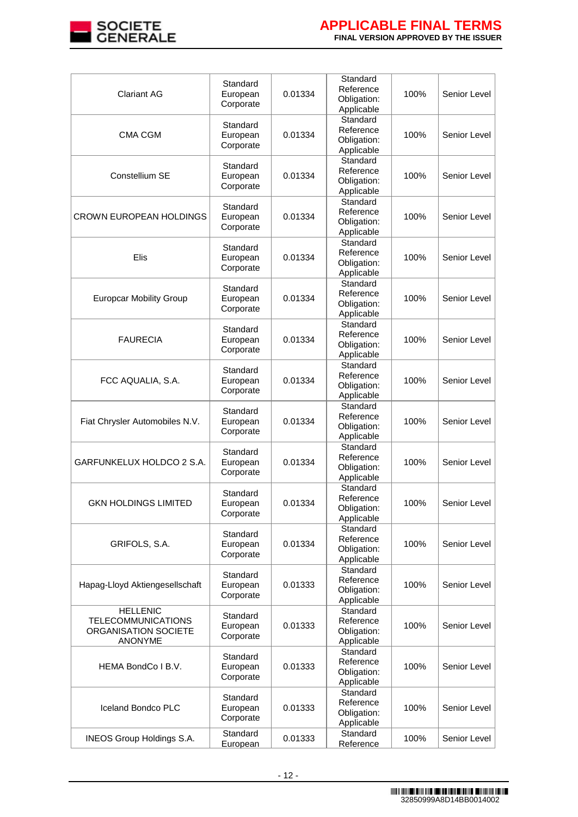

| <b>Clariant AG</b>                                                                     | Standard<br>European<br>Corporate | 0.01334 | Standard<br>Reference<br>Obligation:<br>Applicable | 100% | Senior Level |
|----------------------------------------------------------------------------------------|-----------------------------------|---------|----------------------------------------------------|------|--------------|
| <b>CMA CGM</b>                                                                         | Standard<br>European<br>Corporate | 0.01334 | Standard<br>Reference<br>Obligation:<br>Applicable | 100% | Senior Level |
| Constellium SE                                                                         | Standard<br>European<br>Corporate | 0.01334 | Standard<br>Reference<br>Obligation:<br>Applicable | 100% | Senior Level |
| <b>CROWN EUROPEAN HOLDINGS</b>                                                         | Standard<br>European<br>Corporate | 0.01334 | Standard<br>Reference<br>Obligation:<br>Applicable | 100% | Senior Level |
| Elis                                                                                   | Standard<br>European<br>Corporate | 0.01334 | Standard<br>Reference<br>Obligation:<br>Applicable | 100% | Senior Level |
| <b>Europcar Mobility Group</b>                                                         | Standard<br>European<br>Corporate | 0.01334 | Standard<br>Reference<br>Obligation:<br>Applicable | 100% | Senior Level |
| <b>FAURECIA</b>                                                                        | Standard<br>European<br>Corporate | 0.01334 | Standard<br>Reference<br>Obligation:<br>Applicable | 100% | Senior Level |
| FCC AQUALIA, S.A.                                                                      | Standard<br>European<br>Corporate | 0.01334 | Standard<br>Reference<br>Obligation:<br>Applicable | 100% | Senior Level |
| Fiat Chrysler Automobiles N.V.                                                         | Standard<br>European<br>Corporate | 0.01334 | Standard<br>Reference<br>Obligation:<br>Applicable | 100% | Senior Level |
| GARFUNKELUX HOLDCO 2 S.A.                                                              | Standard<br>European<br>Corporate | 0.01334 | Standard<br>Reference<br>Obligation:<br>Applicable | 100% | Senior Level |
| GKN HOLDINGS LIMITED                                                                   | Standard<br>European<br>Corporate | 0.01334 | Standard<br>Reference<br>Obligation:<br>Applicable | 100% | Senior Level |
| GRIFOLS, S.A.                                                                          | Standard<br>European<br>Corporate | 0.01334 | Standard<br>Reference<br>Obligation:<br>Applicable | 100% | Senior Level |
| Hapag-Lloyd Aktiengesellschaft                                                         | Standard<br>European<br>Corporate | 0.01333 | Standard<br>Reference<br>Obligation:<br>Applicable | 100% | Senior Level |
| <b>HELLENIC</b><br><b>TELECOMMUNICATIONS</b><br>ORGANISATION SOCIETE<br><b>ANONYME</b> | Standard<br>European<br>Corporate | 0.01333 | Standard<br>Reference<br>Obligation:<br>Applicable | 100% | Senior Level |
| HEMA BondCo I B.V.                                                                     | Standard<br>European<br>Corporate | 0.01333 | Standard<br>Reference<br>Obligation:<br>Applicable | 100% | Senior Level |
| Iceland Bondco PLC                                                                     | Standard<br>European<br>Corporate | 0.01333 | Standard<br>Reference<br>Obligation:<br>Applicable | 100% | Senior Level |
| <b>INEOS Group Holdings S.A.</b>                                                       | Standard<br>European              | 0.01333 | Standard<br>Reference                              | 100% | Senior Level |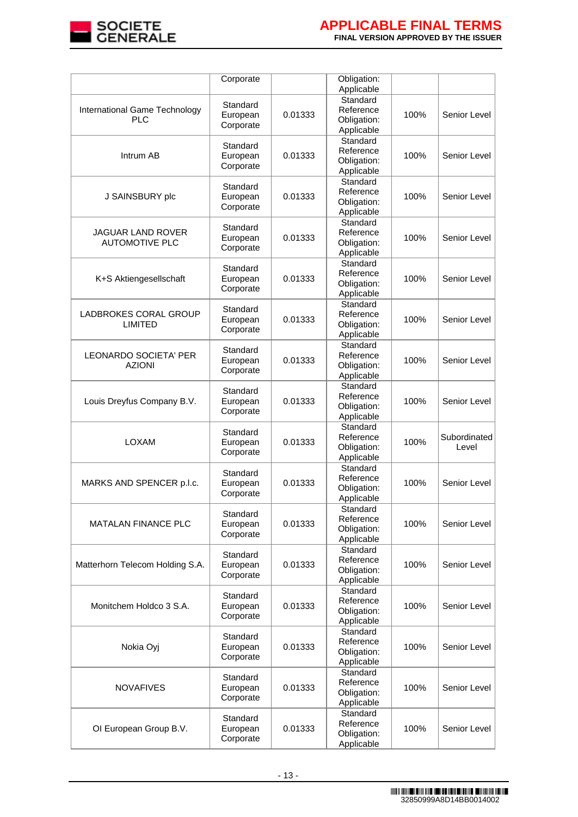

|                                                   | Corporate                         |         | Obligation:                                        |      |                       |
|---------------------------------------------------|-----------------------------------|---------|----------------------------------------------------|------|-----------------------|
|                                                   |                                   |         | Applicable                                         |      |                       |
| International Game Technology<br><b>PLC</b>       | Standard<br>European<br>Corporate | 0.01333 | Standard<br>Reference<br>Obligation:<br>Applicable | 100% | Senior Level          |
| Intrum AB                                         | Standard<br>European<br>Corporate | 0.01333 | Standard<br>Reference<br>Obligation:<br>Applicable | 100% | Senior Level          |
| J SAINSBURY plc                                   | Standard<br>European<br>Corporate | 0.01333 | Standard<br>Reference<br>Obligation:<br>Applicable | 100% | Senior Level          |
| <b>JAGUAR LAND ROVER</b><br><b>AUTOMOTIVE PLC</b> | Standard<br>European<br>Corporate | 0.01333 | Standard<br>Reference<br>Obligation:<br>Applicable | 100% | Senior Level          |
| K+S Aktiengesellschaft                            | Standard<br>European<br>Corporate | 0.01333 | Standard<br>Reference<br>Obligation:<br>Applicable | 100% | Senior Level          |
| LADBROKES CORAL GROUP<br><b>LIMITED</b>           | Standard<br>European<br>Corporate | 0.01333 | Standard<br>Reference<br>Obligation:<br>Applicable | 100% | Senior Level          |
| LEONARDO SOCIETA' PER<br>AZIONI                   | Standard<br>European<br>Corporate | 0.01333 | Standard<br>Reference<br>Obligation:<br>Applicable | 100% | Senior Level          |
| Louis Dreyfus Company B.V.                        | Standard<br>European<br>Corporate | 0.01333 | Standard<br>Reference<br>Obligation:<br>Applicable | 100% | Senior Level          |
| LOXAM                                             | Standard<br>European<br>Corporate | 0.01333 | Standard<br>Reference<br>Obligation:<br>Applicable | 100% | Subordinated<br>Level |
| MARKS AND SPENCER p.l.c.                          | Standard<br>European<br>Corporate | 0.01333 | Standard<br>Reference<br>Obligation:<br>Applicable | 100% | Senior Level          |
| <b>MATALAN FINANCE PLC</b>                        | Standard<br>European<br>Corporate | 0.01333 | Standard<br>Reference<br>Obligation:<br>Applicable | 100% | Senior Level          |
| Matterhorn Telecom Holding S.A.                   | Standard<br>European<br>Corporate | 0.01333 | Standard<br>Reference<br>Obligation:<br>Applicable | 100% | Senior Level          |
| Monitchem Holdco 3 S.A.                           | Standard<br>European<br>Corporate | 0.01333 | Standard<br>Reference<br>Obligation:<br>Applicable | 100% | Senior Level          |
| Nokia Oyj                                         | Standard<br>European<br>Corporate | 0.01333 | Standard<br>Reference<br>Obligation:<br>Applicable | 100% | Senior Level          |
| <b>NOVAFIVES</b>                                  | Standard<br>European<br>Corporate | 0.01333 | Standard<br>Reference<br>Obligation:<br>Applicable | 100% | Senior Level          |
| OI European Group B.V.                            | Standard<br>European<br>Corporate | 0.01333 | Standard<br>Reference<br>Obligation:<br>Applicable | 100% | Senior Level          |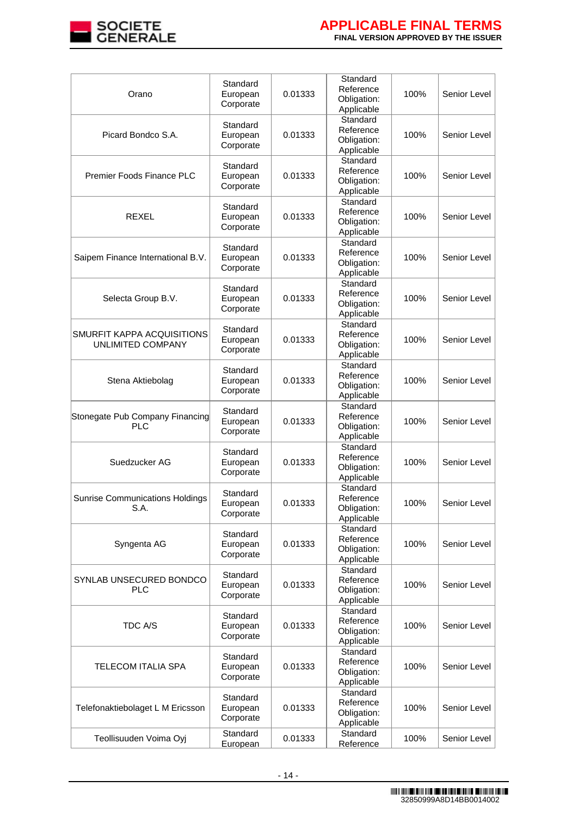

| Orano                                           | Standard<br>European<br>Corporate | 0.01333 | Standard<br>Reference<br>Obligation:<br>Applicable | 100% | Senior Level |
|-------------------------------------------------|-----------------------------------|---------|----------------------------------------------------|------|--------------|
| Picard Bondco S.A.                              | Standard<br>European<br>Corporate | 0.01333 | Standard<br>Reference<br>Obligation:<br>Applicable | 100% | Senior Level |
| Premier Foods Finance PLC                       | Standard<br>European<br>Corporate | 0.01333 | Standard<br>Reference<br>Obligation:<br>Applicable | 100% | Senior Level |
| <b>REXEL</b>                                    | Standard<br>European<br>Corporate | 0.01333 | Standard<br>Reference<br>Obligation:<br>Applicable | 100% | Senior Level |
| Saipem Finance International B.V.               | Standard<br>European<br>Corporate | 0.01333 | Standard<br>Reference<br>Obligation:<br>Applicable | 100% | Senior Level |
| Selecta Group B.V.                              | Standard<br>European<br>Corporate | 0.01333 | Standard<br>Reference<br>Obligation:<br>Applicable | 100% | Senior Level |
| SMURFIT KAPPA ACQUISITIONS<br>UNLIMITED COMPANY | Standard<br>European<br>Corporate | 0.01333 | Standard<br>Reference<br>Obligation:<br>Applicable | 100% | Senior Level |
| Stena Aktiebolag                                | Standard<br>European<br>Corporate | 0.01333 | Standard<br>Reference<br>Obligation:<br>Applicable | 100% | Senior Level |
| Stonegate Pub Company Financing<br>PLC          | Standard<br>European<br>Corporate | 0.01333 | Standard<br>Reference<br>Obligation:<br>Applicable | 100% | Senior Level |
| Suedzucker AG                                   | Standard<br>European<br>Corporate | 0.01333 | Standard<br>Reference<br>Obligation:<br>Applicable | 100% | Senior Level |
| <b>Sunrise Communications Holdings</b><br>S.A.  | Standard<br>European<br>Corporate | 0.01333 | Standard<br>Reference<br>Obligation:<br>Applicable | 100% | Senior Level |
| Syngenta AG                                     | Standard<br>European<br>Corporate | 0.01333 | Standard<br>Reference<br>Obligation:<br>Applicable | 100% | Senior Level |
| SYNLAB UNSECURED BONDCO<br><b>PLC</b>           | Standard<br>European<br>Corporate | 0.01333 | Standard<br>Reference<br>Obligation:<br>Applicable | 100% | Senior Level |
| TDC A/S                                         | Standard<br>European<br>Corporate | 0.01333 | Standard<br>Reference<br>Obligation:<br>Applicable | 100% | Senior Level |
| <b>TELECOM ITALIA SPA</b>                       | Standard<br>European<br>Corporate | 0.01333 | Standard<br>Reference<br>Obligation:<br>Applicable | 100% | Senior Level |
| Telefonaktiebolaget L M Ericsson                | Standard<br>European<br>Corporate | 0.01333 | Standard<br>Reference<br>Obligation:<br>Applicable | 100% | Senior Level |
| Teollisuuden Voima Oyj                          | Standard<br>European              | 0.01333 | Standard<br>Reference                              | 100% | Senior Level |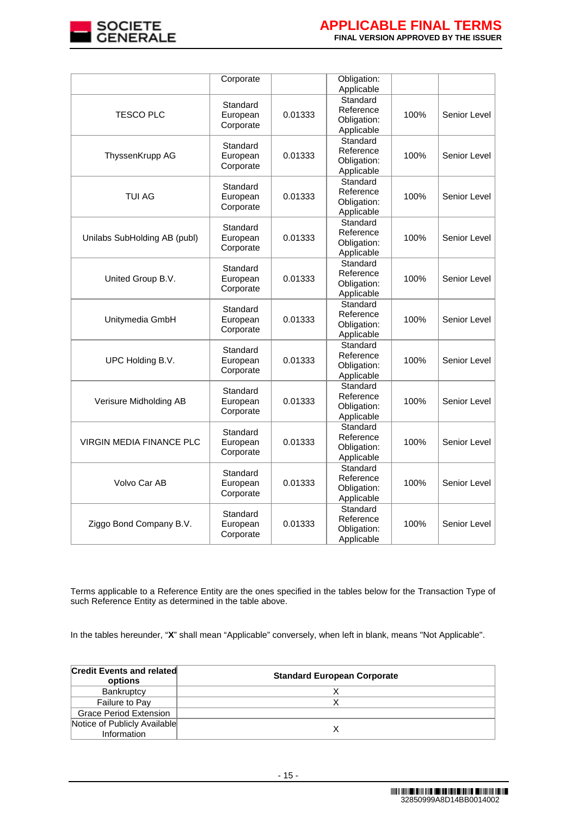

|                                 | Corporate                         |         | Obligation:<br>Applicable                          |      |              |
|---------------------------------|-----------------------------------|---------|----------------------------------------------------|------|--------------|
| TESCO PLC                       | Standard<br>European<br>Corporate | 0.01333 | Standard<br>Reference<br>Obligation:<br>Applicable | 100% | Senior Level |
| ThyssenKrupp AG                 | Standard<br>European<br>Corporate | 0.01333 | Standard<br>Reference<br>Obligation:<br>Applicable | 100% | Senior Level |
| TUI AG                          | Standard<br>European<br>Corporate | 0.01333 | Standard<br>Reference<br>Obligation:<br>Applicable | 100% | Senior Level |
| Unilabs SubHolding AB (publ)    | Standard<br>European<br>Corporate | 0.01333 | Standard<br>Reference<br>Obligation:<br>Applicable | 100% | Senior Level |
| United Group B.V.               | Standard<br>European<br>Corporate | 0.01333 | Standard<br>Reference<br>Obligation:<br>Applicable | 100% | Senior Level |
| Unitymedia GmbH                 | Standard<br>European<br>Corporate | 0.01333 | Standard<br>Reference<br>Obligation:<br>Applicable | 100% | Senior Level |
| UPC Holding B.V.                | Standard<br>European<br>Corporate | 0.01333 | Standard<br>Reference<br>Obligation:<br>Applicable | 100% | Senior Level |
| Verisure Midholding AB          | Standard<br>European<br>Corporate | 0.01333 | Standard<br>Reference<br>Obligation:<br>Applicable | 100% | Senior Level |
| <b>VIRGIN MEDIA FINANCE PLC</b> | Standard<br>European<br>Corporate | 0.01333 | Standard<br>Reference<br>Obligation:<br>Applicable | 100% | Senior Level |
| Volvo Car AB                    | Standard<br>European<br>Corporate | 0.01333 | Standard<br>Reference<br>Obligation:<br>Applicable | 100% | Senior Level |
| Ziggo Bond Company B.V.         | Standard<br>European<br>Corporate | 0.01333 | Standard<br>Reference<br>Obligation:<br>Applicable | 100% | Senior Level |

Terms applicable to a Reference Entity are the ones specified in the tables below for the Transaction Type of such Reference Entity as determined in the table above.

In the tables hereunder, "**X**" shall mean "Applicable" conversely, when left in blank, means "Not Applicable".

| <b>Credit Events and related</b><br>options | <b>Standard European Corporate</b> |
|---------------------------------------------|------------------------------------|
| Bankruptcy                                  |                                    |
| Failure to Pay                              |                                    |
| <b>Grace Period Extension</b>               |                                    |
| Notice of Publicly Available<br>Information |                                    |